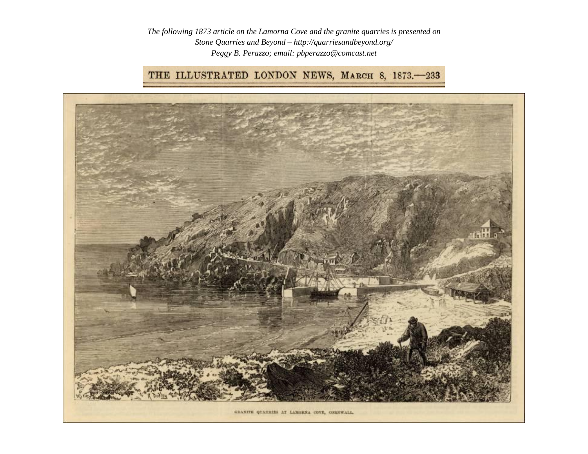*The following 1873 article on the Lamorna Cove and the granite quarries is presented on Stone Quarries and Beyond – http://quarriesandbeyond.org/ Peggy B. Perazzo; email: pbperazzo@comcast.net*

## THE ILLUSTRATED LONDON NEWS, MARCH 8, 1873. - 233